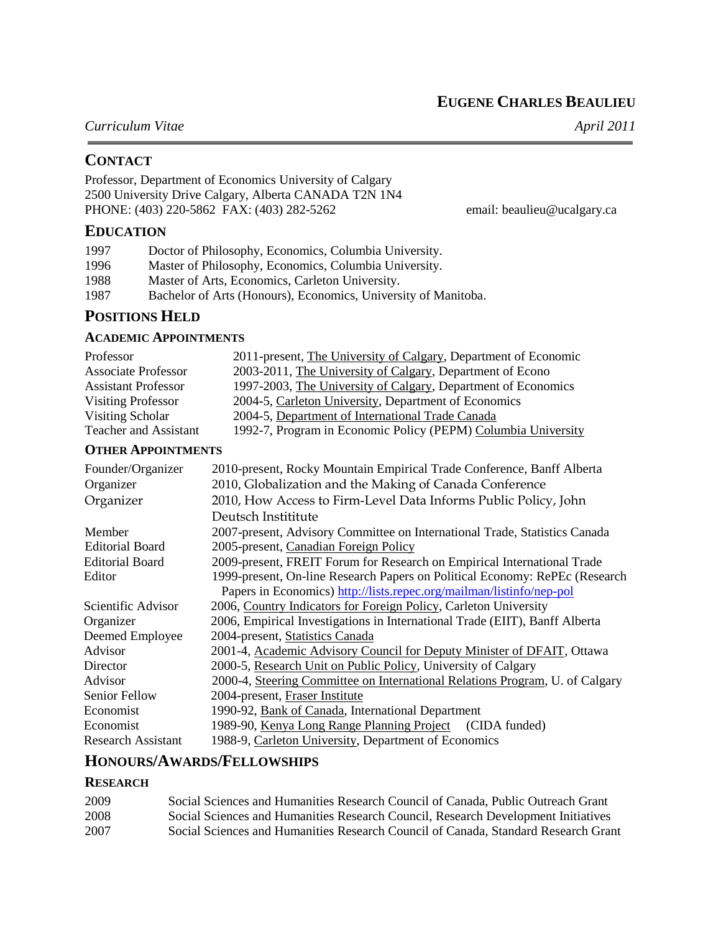**EUGENE CHARLES BEAULIEU**

# *Curriculum Vitae April 2011*

# **CONTACT**

Professor, Department of Economics University of Calgary 2500 University Drive Calgary, Alberta CANADA T2N 1N4 PHONE: (403) 220-5862 FAX: (403) 282-5262 email: beaulieu@ucalgary.ca

# **EDUCATION**

| 1997 | Doctor of Philosophy, Economics, Columbia University.          |
|------|----------------------------------------------------------------|
| 1996 | Master of Philosophy, Economics, Columbia University.          |
| 1988 | Master of Arts, Economics, Carleton University.                |
| 1987 | Bachelor of Arts (Honours), Economics, University of Manitoba. |

# **POSITIONS HELD**

## **ACADEMIC APPOINTMENTS**

| Professor                    | 2011-present, The University of Calgary, Department of Economic |
|------------------------------|-----------------------------------------------------------------|
| <b>Associate Professor</b>   | 2003-2011, The University of Calgary, Department of Econo       |
| <b>Assistant Professor</b>   | 1997-2003, The University of Calgary, Department of Economics   |
| <b>Visiting Professor</b>    | 2004-5, Carleton University, Department of Economics            |
| Visiting Scholar             | 2004-5, Department of International Trade Canada                |
| <b>Teacher and Assistant</b> | 1992-7, Program in Economic Policy (PEPM) Columbia University   |

## **OTHER APPOINTMENTS**

| Founder/Organizer<br>Organizer | 2010-present, Rocky Mountain Empirical Trade Conference, Banff Alberta<br>2010, Globalization and the Making of Canada Conference |
|--------------------------------|-----------------------------------------------------------------------------------------------------------------------------------|
| Organizer                      | 2010, How Access to Firm-Level Data Informs Public Policy, John                                                                   |
|                                | Deutsch Instititute                                                                                                               |
| Member                         | 2007-present, Advisory Committee on International Trade, Statistics Canada                                                        |
| <b>Editorial Board</b>         | 2005-present, Canadian Foreign Policy                                                                                             |
| <b>Editorial Board</b>         | 2009-present, FREIT Forum for Research on Empirical International Trade                                                           |
| Editor                         | 1999-present, On-line Research Papers on Political Economy: RePEc (Research                                                       |
|                                | Papers in Economics) http://lists.repec.org/mailman/listinfo/nep-pol                                                              |
| Scientific Advisor             | 2006, Country Indicators for Foreign Policy, Carleton University                                                                  |
| Organizer                      | 2006, Empirical Investigations in International Trade (EIIT), Banff Alberta                                                       |
| Deemed Employee                | 2004-present, Statistics Canada                                                                                                   |
| Advisor                        | 2001-4, Academic Advisory Council for Deputy Minister of DFAIT, Ottawa                                                            |
| Director                       | 2000-5, Research Unit on Public Policy, University of Calgary                                                                     |
| Advisor                        | 2000-4, Steering Committee on International Relations Program, U. of Calgary                                                      |
| <b>Senior Fellow</b>           | 2004-present, Fraser Institute                                                                                                    |
| Economist                      | 1990-92, Bank of Canada, International Department                                                                                 |
| Economist                      | 1989-90, Kenya Long Range Planning Project (CIDA funded)                                                                          |
| <b>Research Assistant</b>      | 1988-9, Carleton University, Department of Economics                                                                              |

# **HONOURS/AWARDS/FELLOWSHIPS**

# **RESEARCH**

| 2009 | Social Sciences and Humanities Research Council of Canada. Public Outreach Grant   |
|------|------------------------------------------------------------------------------------|
| 2008 | Social Sciences and Humanities Research Council, Research Development Initiatives  |
| 2007 | Social Sciences and Humanities Research Council of Canada, Standard Research Grant |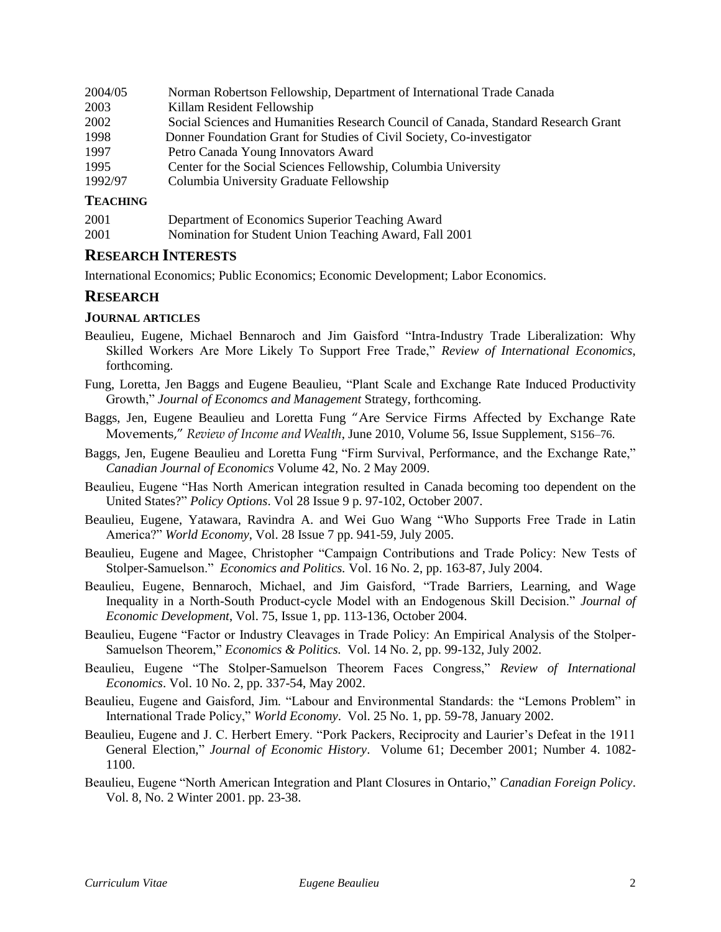| 2004/05 | Norman Robertson Fellowship, Department of International Trade Canada              |
|---------|------------------------------------------------------------------------------------|
| 2003    | Killam Resident Fellowship                                                         |
| 2002    | Social Sciences and Humanities Research Council of Canada, Standard Research Grant |
| 1998    | Donner Foundation Grant for Studies of Civil Society, Co-investigator              |
| 1997    | Petro Canada Young Innovators Award                                                |
| 1995    | Center for the Social Sciences Fellowship, Columbia University                     |
| 1992/97 | Columbia University Graduate Fellowship                                            |

## **TEACHING**

| 2001 | Department of Economics Superior Teaching Award        |
|------|--------------------------------------------------------|
| 2001 | Nomination for Student Union Teaching Award, Fall 2001 |

## **RESEARCH INTERESTS**

International Economics; Public Economics; Economic Development; Labor Economics.

# **RESEARCH**

## **JOURNAL ARTICLES**

- Beaulieu, Eugene, Michael Bennaroch and Jim Gaisford "Intra-Industry Trade Liberalization: Why Skilled Workers Are More Likely To Support Free Trade," *Review of International Economics*, forthcoming.
- Fung, Loretta, Jen Baggs and Eugene Beaulieu, "Plant Scale and Exchange Rate Induced Productivity Growth," *Journal of Economcs and Management* Strategy, forthcoming.
- Baggs, Jen, Eugene Beaulieu and Loretta Fung "Are Service Firms Affected by Exchange Rate Movements," *Review of Income and Wealth*, June 2010, Volume 56, Issue Supplement, S156–76.
- Baggs, Jen, Eugene Beaulieu and Loretta Fung "Firm Survival, Performance, and the Exchange Rate," *Canadian Journal of Economics* Volume 42, No. 2 May 2009.
- Beaulieu, Eugene "Has North American integration resulted in Canada becoming too dependent on the United States?" *Policy Options*. Vol 28 Issue 9 p. 97-102, October 2007.
- Beaulieu, Eugene, Yatawara, Ravindra A. and Wei Guo Wang "Who Supports Free Trade in Latin America?" *World Economy*, Vol. 28 Issue 7 pp. 941-59, July 2005.
- Beaulieu, Eugene and Magee, Christopher "Campaign Contributions and Trade Policy: New Tests of Stolper-Samuelson." *Economics and Politics.* Vol. 16 No. 2, pp. 163-87, July 2004.
- Beaulieu, Eugene, Bennaroch, Michael, and Jim Gaisford, "Trade Barriers, Learning, and Wage Inequality in a North-South Product-cycle Model with an Endogenous Skill Decision." *Journal of Economic Development*, Vol. 75, Issue 1, pp. 113-136, October 2004.
- Beaulieu, Eugene "Factor or Industry Cleavages in Trade Policy: An Empirical Analysis of the Stolper-Samuelson Theorem," *Economics & Politics.* Vol. 14 No. 2, pp. 99-132, July 2002.
- Beaulieu, Eugene "The Stolper-Samuelson Theorem Faces Congress," *Review of International Economics*. Vol. 10 No. 2, pp. 337-54, May 2002.
- Beaulieu, Eugene and Gaisford, Jim. "Labour and Environmental Standards: the "Lemons Problem" in International Trade Policy," *World Economy*. Vol. 25 No. 1, pp. 59-78, January 2002.
- Beaulieu, Eugene and J. C. Herbert Emery. "Pork Packers, Reciprocity and Laurier's Defeat in the 1911 General Election," *Journal of Economic History*. Volume 61; December 2001; Number 4. 1082- 1100.
- Beaulieu, Eugene "North American Integration and Plant Closures in Ontario," *Canadian Foreign Policy*. Vol. 8, No. 2 Winter 2001. pp. 23-38.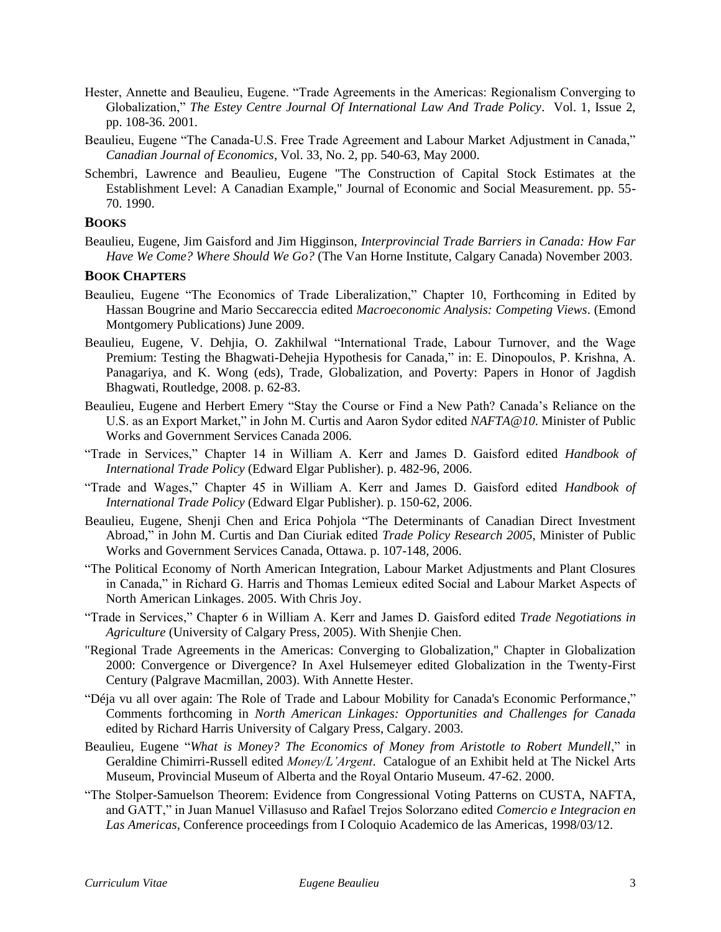- Hester, Annette and Beaulieu, Eugene. "Trade Agreements in the Americas: Regionalism Converging to Globalization," *The Estey Centre Journal Of International Law And Trade Policy*. Vol. 1, Issue 2, pp. 108-36. 2001.
- Beaulieu, Eugene "The Canada-U.S. Free Trade Agreement and Labour Market Adjustment in Canada," *Canadian Journal of Economics*, Vol. 33, No. 2, pp. 540-63, May 2000.
- Schembri, Lawrence and Beaulieu, Eugene "The Construction of Capital Stock Estimates at the Establishment Level: A Canadian Example," Journal of Economic and Social Measurement. pp. 55- 70. 1990.

#### **BOOKS**

Beaulieu, Eugene, Jim Gaisford and Jim Higginson, *Interprovincial Trade Barriers in Canada: How Far Have We Come? Where Should We Go?* (The Van Horne Institute, Calgary Canada) November 2003.

#### **BOOK CHAPTERS**

- Beaulieu, Eugene "The Economics of Trade Liberalization," Chapter 10, Forthcoming in Edited by Hassan Bougrine and Mario Seccareccia edited *Macroeconomic Analysis: Competing Views*. (Emond Montgomery Publications) June 2009.
- Beaulieu, Eugene, V. Dehjia, O. Zakhilwal "International Trade, Labour Turnover, and the Wage Premium: Testing the Bhagwati-Dehejia Hypothesis for Canada," in: E. Dinopoulos, P. Krishna, A. Panagariya, and K. Wong (eds), Trade, Globalization, and Poverty: Papers in Honor of Jagdish Bhagwati, Routledge, 2008. p. 62-83.
- Beaulieu, Eugene and Herbert Emery "Stay the Course or Find a New Path? Canada's Reliance on the U.S. as an Export Market," in John M. Curtis and Aaron Sydor edited *NAFTA@10*. Minister of Public Works and Government Services Canada 2006.
- "Trade in Services," Chapter 14 in William A. Kerr and James D. Gaisford edited *Handbook of International Trade Policy* (Edward Elgar Publisher). p. 482-96, 2006.
- "Trade and Wages," Chapter 45 in William A. Kerr and James D. Gaisford edited *Handbook of International Trade Policy* (Edward Elgar Publisher). p. 150-62, 2006.
- Beaulieu, Eugene, Shenji Chen and Erica Pohjola "The Determinants of Canadian Direct Investment Abroad," in John M. Curtis and Dan Ciuriak edited *Trade Policy Research 2005*, Minister of Public Works and Government Services Canada, Ottawa. p. 107-148, 2006.
- "The Political Economy of North American Integration, Labour Market Adjustments and Plant Closures in Canada," in Richard G. Harris and Thomas Lemieux edited Social and Labour Market Aspects of North American Linkages. 2005. With Chris Joy.
- "Trade in Services," Chapter 6 in William A. Kerr and James D. Gaisford edited *Trade Negotiations in Agriculture* (University of Calgary Press, 2005). With Shenjie Chen.
- "Regional Trade Agreements in the Americas: Converging to Globalization," Chapter in Globalization 2000: Convergence or Divergence? In Axel Hulsemeyer edited Globalization in the Twenty-First Century (Palgrave Macmillan, 2003). With Annette Hester.
- "Déja vu all over again: The Role of Trade and Labour Mobility for Canada's Economic Performance," Comments forthcoming in *North American Linkages: Opportunities and Challenges for Canada* edited by Richard Harris University of Calgary Press, Calgary. 2003.
- Beaulieu, Eugene "*What is Money? The Economics of Money from Aristotle to Robert Mundell*," in Geraldine Chimirri-Russell edited *Money/L'Argent*. Catalogue of an Exhibit held at The Nickel Arts Museum, Provincial Museum of Alberta and the Royal Ontario Museum. 47-62. 2000.
- "The Stolper-Samuelson Theorem: Evidence from Congressional Voting Patterns on CUSTA, NAFTA, and GATT," in Juan Manuel Villasuso and Rafael Trejos Solorzano edited *Comercio e Integracion en Las Americas,* Conference proceedings from I Coloquio Academico de las Americas, 1998/03/12.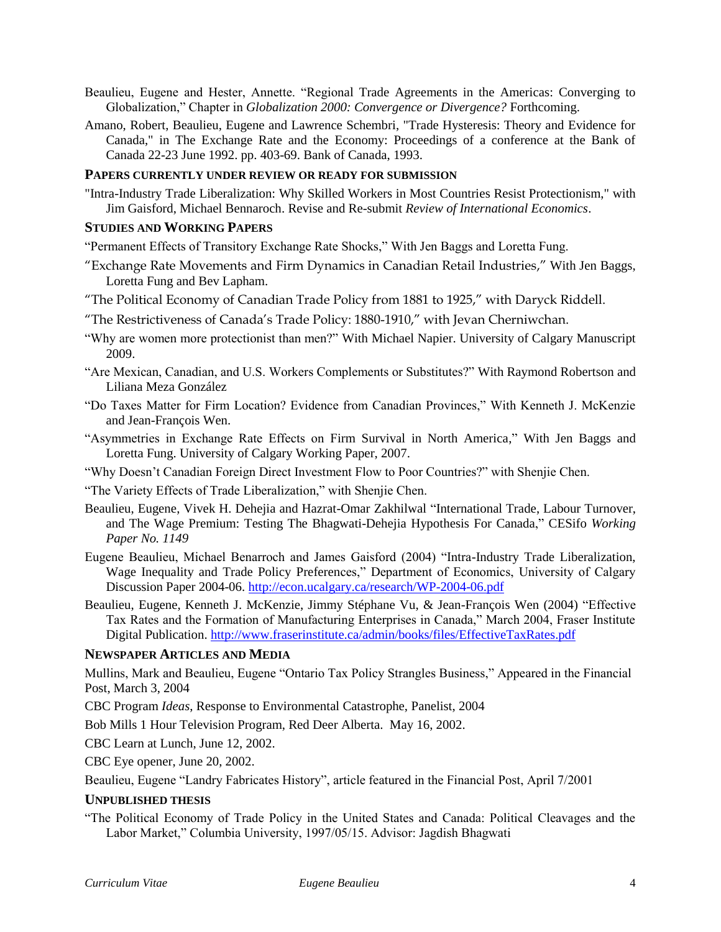- Beaulieu, Eugene and Hester, Annette. "Regional Trade Agreements in the Americas: Converging to Globalization," Chapter in *Globalization 2000: Convergence or Divergence?* Forthcoming.
- Amano, Robert, Beaulieu, Eugene and Lawrence Schembri, "Trade Hysteresis: Theory and Evidence for Canada," in The Exchange Rate and the Economy: Proceedings of a conference at the Bank of Canada 22-23 June 1992. pp. 403-69. Bank of Canada, 1993.

## **PAPERS CURRENTLY UNDER REVIEW OR READY FOR SUBMISSION**

"Intra-Industry Trade Liberalization: Why Skilled Workers in Most Countries Resist Protectionism," with Jim Gaisford, Michael Bennaroch. Revise and Re-submit *Review of International Economics*.

#### **STUDIES AND WORKING PAPERS**

"Permanent Effects of Transitory Exchange Rate Shocks," With Jen Baggs and Loretta Fung.

- "Exchange Rate Movements and Firm Dynamics in Canadian Retail Industries," With Jen Baggs, Loretta Fung and Bev Lapham.
- "The Political Economy of Canadian Trade Policy from 1881 to 1925," with Daryck Riddell.
- "The Restrictiveness of Canada's Trade Policy: 1880-1910," with Jevan Cherniwchan.
- "Why are women more protectionist than men?" With Michael Napier. University of Calgary Manuscript 2009.
- "Are Mexican, Canadian, and U.S. Workers Complements or Substitutes?" With Raymond Robertson and Liliana Meza González
- "Do Taxes Matter for Firm Location? Evidence from Canadian Provinces," With Kenneth J. McKenzie and Jean-François Wen.
- "Asymmetries in Exchange Rate Effects on Firm Survival in North America," With Jen Baggs and Loretta Fung. University of Calgary Working Paper, 2007.
- "Why Doesn't Canadian Foreign Direct Investment Flow to Poor Countries?" with Shenjie Chen.
- "The Variety Effects of Trade Liberalization," with Shenjie Chen.
- Beaulieu, Eugene, Vivek H. Dehejia and Hazrat-Omar Zakhilwal "International Trade, Labour Turnover, and The Wage Premium: Testing The Bhagwati-Dehejia Hypothesis For Canada," CESifo *Working Paper No. 1149*
- Eugene Beaulieu, Michael Benarroch and James Gaisford (2004) "Intra-Industry Trade Liberalization, Wage Inequality and Trade Policy Preferences," Department of Economics, University of Calgary Discussion Paper 2004-06.<http://econ.ucalgary.ca/research/WP-2004-06.pdf>
- Beaulieu, Eugene, Kenneth J. McKenzie, Jimmy Stéphane Vu, & Jean-François Wen (2004) "Effective Tax Rates and the Formation of Manufacturing Enterprises in Canada," March 2004, Fraser Institute Digital Publication.<http://www.fraserinstitute.ca/admin/books/files/EffectiveTaxRates.pdf>

#### **NEWSPAPER ARTICLES AND MEDIA**

Mullins, Mark and Beaulieu, Eugene "Ontario Tax Policy Strangles Business," Appeared in the Financial Post, March 3, 2004

CBC Program *Ideas*, Response to Environmental Catastrophe, Panelist, 2004

Bob Mills 1 Hour Television Program, Red Deer Alberta. May 16, 2002.

CBC Learn at Lunch, June 12, 2002.

CBC Eye opener, June 20, 2002.

Beaulieu, Eugene "Landry Fabricates History", article featured in the Financial Post, April 7/2001

#### **UNPUBLISHED THESIS**

"The Political Economy of Trade Policy in the United States and Canada: Political Cleavages and the Labor Market," Columbia University, 1997/05/15. Advisor: Jagdish Bhagwati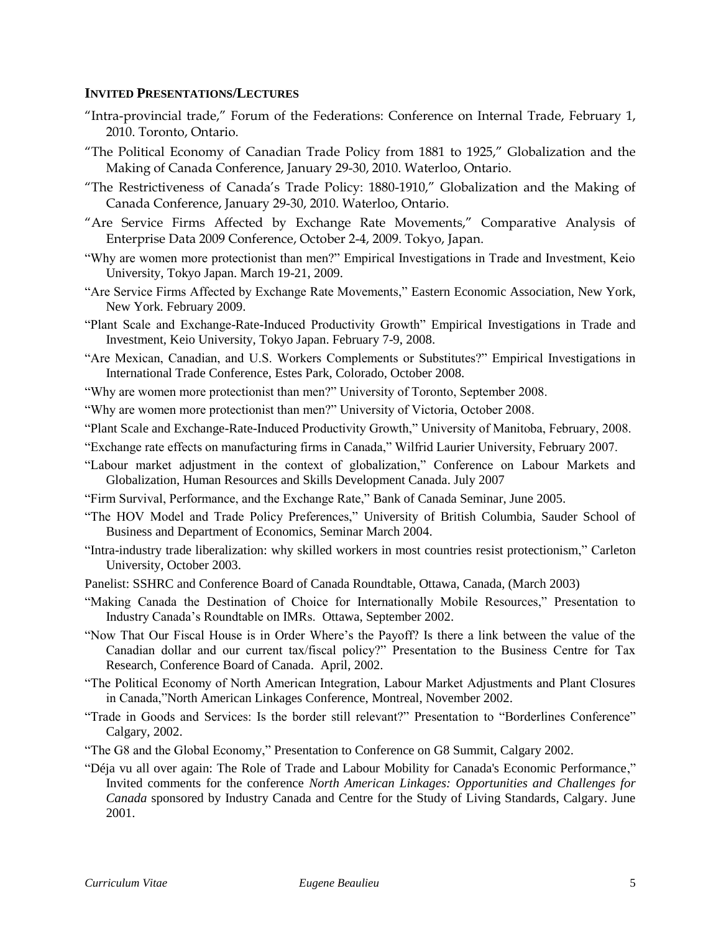## **INVITED PRESENTATIONS/LECTURES**

- "Intra-provincial trade," Forum of the Federations: Conference on Internal Trade, February 1, 2010. Toronto, Ontario.
- "The Political Economy of Canadian Trade Policy from 1881 to 1925," Globalization and the Making of Canada Conference, January 29-30, 2010. Waterloo, Ontario.
- "The Restrictiveness of Canada's Trade Policy: 1880-1910," Globalization and the Making of Canada Conference, January 29-30, 2010. Waterloo, Ontario.
- "Are Service Firms Affected by Exchange Rate Movements," Comparative Analysis of Enterprise Data 2009 Conference, October 2-4, 2009. Tokyo, Japan.
- "Why are women more protectionist than men?" Empirical Investigations in Trade and Investment, Keio University, Tokyo Japan. March 19-21, 2009.
- "Are Service Firms Affected by Exchange Rate Movements," Eastern Economic Association, New York, New York. February 2009.
- "Plant Scale and Exchange-Rate-Induced Productivity Growth" Empirical Investigations in Trade and Investment, Keio University, Tokyo Japan. February 7-9, 2008.
- "Are Mexican, Canadian, and U.S. Workers Complements or Substitutes?" Empirical Investigations in International Trade Conference, Estes Park, Colorado, October 2008.
- "Why are women more protectionist than men?" University of Toronto, September 2008.
- "Why are women more protectionist than men?" University of Victoria, October 2008.
- "Plant Scale and Exchange-Rate-Induced Productivity Growth," University of Manitoba, February, 2008.
- "Exchange rate effects on manufacturing firms in Canada," Wilfrid Laurier University, February 2007.
- "Labour market adjustment in the context of globalization," Conference on Labour Markets and Globalization, Human Resources and Skills Development Canada. July 2007
- "Firm Survival, Performance, and the Exchange Rate," Bank of Canada Seminar, June 2005.
- "The HOV Model and Trade Policy Preferences," University of British Columbia, Sauder School of Business and Department of Economics, Seminar March 2004.
- "Intra-industry trade liberalization: why skilled workers in most countries resist protectionism," Carleton University, October 2003.
- Panelist: SSHRC and Conference Board of Canada Roundtable, Ottawa, Canada, (March 2003)
- "Making Canada the Destination of Choice for Internationally Mobile Resources," Presentation to Industry Canada's Roundtable on IMRs. Ottawa, September 2002.
- "Now That Our Fiscal House is in Order Where's the Payoff? Is there a link between the value of the Canadian dollar and our current tax/fiscal policy?" Presentation to the Business Centre for Tax Research, Conference Board of Canada. April, 2002.
- "The Political Economy of North American Integration, Labour Market Adjustments and Plant Closures in Canada,"North American Linkages Conference, Montreal, November 2002.
- "Trade in Goods and Services: Is the border still relevant?" Presentation to "Borderlines Conference" Calgary, 2002.
- "The G8 and the Global Economy," Presentation to Conference on G8 Summit, Calgary 2002.
- "Déja vu all over again: The Role of Trade and Labour Mobility for Canada's Economic Performance," Invited comments for the conference *North American Linkages: Opportunities and Challenges for Canada* sponsored by Industry Canada and Centre for the Study of Living Standards, Calgary. June 2001.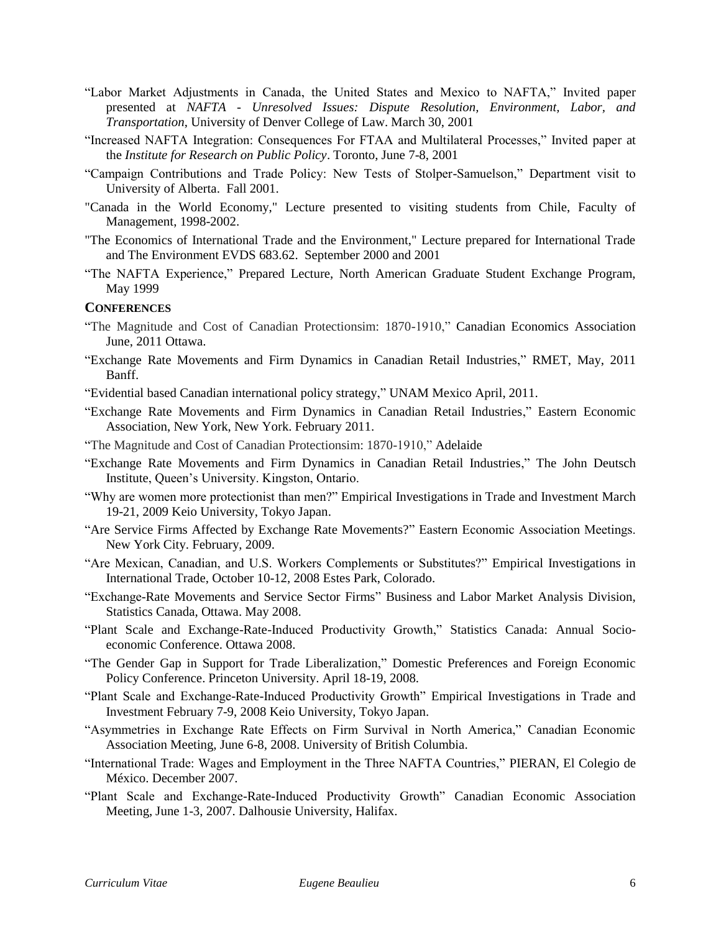- "Labor Market Adjustments in Canada, the United States and Mexico to NAFTA," Invited paper presented at *NAFTA - Unresolved Issues: Dispute Resolution, Environment, Labor, and Transportation*, University of Denver College of Law. March 30, 2001
- "Increased NAFTA Integration: Consequences For FTAA and Multilateral Processes," Invited paper at the *Institute for Research on Public Policy*. Toronto, June 7-8, 2001
- "Campaign Contributions and Trade Policy: New Tests of Stolper-Samuelson," Department visit to University of Alberta. Fall 2001.
- "Canada in the World Economy," Lecture presented to visiting students from Chile, Faculty of Management, 1998-2002.
- "The Economics of International Trade and the Environment," Lecture prepared for International Trade and The Environment EVDS 683.62. September 2000 and 2001
- "The NAFTA Experience," Prepared Lecture, North American Graduate Student Exchange Program, May 1999

#### **CONFERENCES**

- "The Magnitude and Cost of Canadian Protectionsim: 1870-1910," Canadian Economics Association June, 2011 Ottawa.
- "Exchange Rate Movements and Firm Dynamics in Canadian Retail Industries," RMET, May, 2011 Banff.

"Evidential based Canadian international policy strategy," UNAM Mexico April, 2011.

- "Exchange Rate Movements and Firm Dynamics in Canadian Retail Industries," Eastern Economic Association, New York, New York. February 2011.
- "The Magnitude and Cost of Canadian Protectionsim: 1870-1910," Adelaide
- "Exchange Rate Movements and Firm Dynamics in Canadian Retail Industries," The John Deutsch Institute, Queen's University. Kingston, Ontario.
- "Why are women more protectionist than men?" Empirical Investigations in Trade and Investment March 19-21, 2009 Keio University, Tokyo Japan.
- "Are Service Firms Affected by Exchange Rate Movements?" Eastern Economic Association Meetings. New York City. February, 2009.
- "Are Mexican, Canadian, and U.S. Workers Complements or Substitutes?" Empirical Investigations in International Trade, October 10-12, 2008 Estes Park, Colorado.
- "Exchange-Rate Movements and Service Sector Firms" Business and Labor Market Analysis Division, Statistics Canada, Ottawa. May 2008.
- "Plant Scale and Exchange-Rate-Induced Productivity Growth," Statistics Canada: Annual Socioeconomic Conference. Ottawa 2008.
- "The Gender Gap in Support for Trade Liberalization," Domestic Preferences and Foreign Economic Policy Conference. Princeton University. April 18-19, 2008.
- "Plant Scale and Exchange-Rate-Induced Productivity Growth" Empirical Investigations in Trade and Investment February 7-9, 2008 Keio University, Tokyo Japan.
- "Asymmetries in Exchange Rate Effects on Firm Survival in North America," Canadian Economic Association Meeting, June 6-8, 2008. University of British Columbia.
- "International Trade: Wages and Employment in the Three NAFTA Countries," PIERAN, El Colegio de México. December 2007.
- "Plant Scale and Exchange-Rate-Induced Productivity Growth" Canadian Economic Association Meeting, June 1-3, 2007. Dalhousie University, Halifax.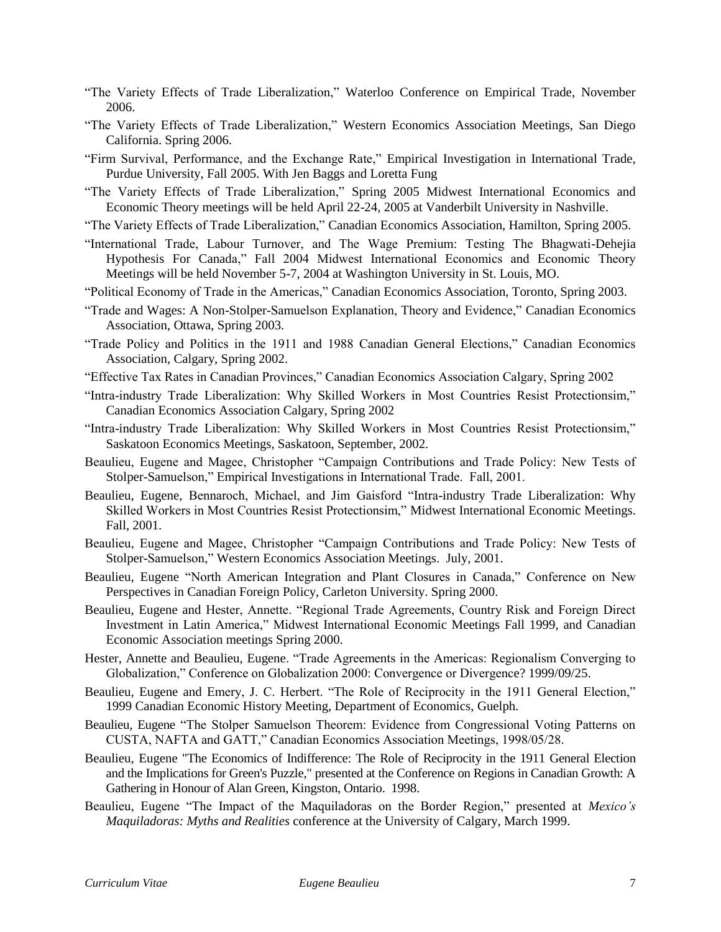- "The Variety Effects of Trade Liberalization," Waterloo Conference on Empirical Trade, November 2006.
- "The Variety Effects of Trade Liberalization," Western Economics Association Meetings, San Diego California. Spring 2006.
- "Firm Survival, Performance, and the Exchange Rate," Empirical Investigation in International Trade, Purdue University, Fall 2005. With Jen Baggs and Loretta Fung
- "The Variety Effects of Trade Liberalization," Spring 2005 Midwest International Economics and Economic Theory meetings will be held April 22-24, 2005 at Vanderbilt University in Nashville.
- "The Variety Effects of Trade Liberalization," Canadian Economics Association, Hamilton, Spring 2005.
- "International Trade, Labour Turnover, and The Wage Premium: Testing The Bhagwati-Dehejia Hypothesis For Canada," Fall 2004 Midwest International Economics and Economic Theory Meetings will be held November 5-7, 2004 at Washington University in St. Louis, MO.
- "Political Economy of Trade in the Americas," Canadian Economics Association, Toronto, Spring 2003.
- "Trade and Wages: A Non-Stolper-Samuelson Explanation, Theory and Evidence," Canadian Economics Association, Ottawa, Spring 2003.
- "Trade Policy and Politics in the 1911 and 1988 Canadian General Elections," Canadian Economics Association, Calgary, Spring 2002.
- "Effective Tax Rates in Canadian Provinces," Canadian Economics Association Calgary, Spring 2002
- "Intra-industry Trade Liberalization: Why Skilled Workers in Most Countries Resist Protectionsim," Canadian Economics Association Calgary, Spring 2002
- "Intra-industry Trade Liberalization: Why Skilled Workers in Most Countries Resist Protectionsim," Saskatoon Economics Meetings, Saskatoon, September, 2002.
- Beaulieu, Eugene and Magee, Christopher "Campaign Contributions and Trade Policy: New Tests of Stolper-Samuelson," Empirical Investigations in International Trade. Fall, 2001.
- Beaulieu, Eugene, Bennaroch, Michael, and Jim Gaisford "Intra-industry Trade Liberalization: Why Skilled Workers in Most Countries Resist Protectionsim," Midwest International Economic Meetings. Fall, 2001.
- Beaulieu, Eugene and Magee, Christopher "Campaign Contributions and Trade Policy: New Tests of Stolper-Samuelson," Western Economics Association Meetings. July, 2001.
- Beaulieu, Eugene "North American Integration and Plant Closures in Canada," Conference on New Perspectives in Canadian Foreign Policy, Carleton University. Spring 2000.
- Beaulieu, Eugene and Hester, Annette. "Regional Trade Agreements, Country Risk and Foreign Direct Investment in Latin America," Midwest International Economic Meetings Fall 1999, and Canadian Economic Association meetings Spring 2000.
- Hester, Annette and Beaulieu, Eugene. "Trade Agreements in the Americas: Regionalism Converging to Globalization," Conference on Globalization 2000: Convergence or Divergence? 1999/09/25.
- Beaulieu, Eugene and Emery, J. C. Herbert. "The Role of Reciprocity in the 1911 General Election," 1999 Canadian Economic History Meeting, Department of Economics, Guelph.
- Beaulieu, Eugene "The Stolper Samuelson Theorem: Evidence from Congressional Voting Patterns on CUSTA, NAFTA and GATT," Canadian Economics Association Meetings, 1998/05/28.
- Beaulieu, Eugene "The Economics of Indifference: The Role of Reciprocity in the 1911 General Election and the Implications for Green's Puzzle," presented at the Conference on Regions in Canadian Growth: A Gathering in Honour of Alan Green, Kingston, Ontario. 1998.
- Beaulieu, Eugene "The Impact of the Maquiladoras on the Border Region," presented at *Mexico's Maquiladoras: Myths and Realities* conference at the University of Calgary, March 1999.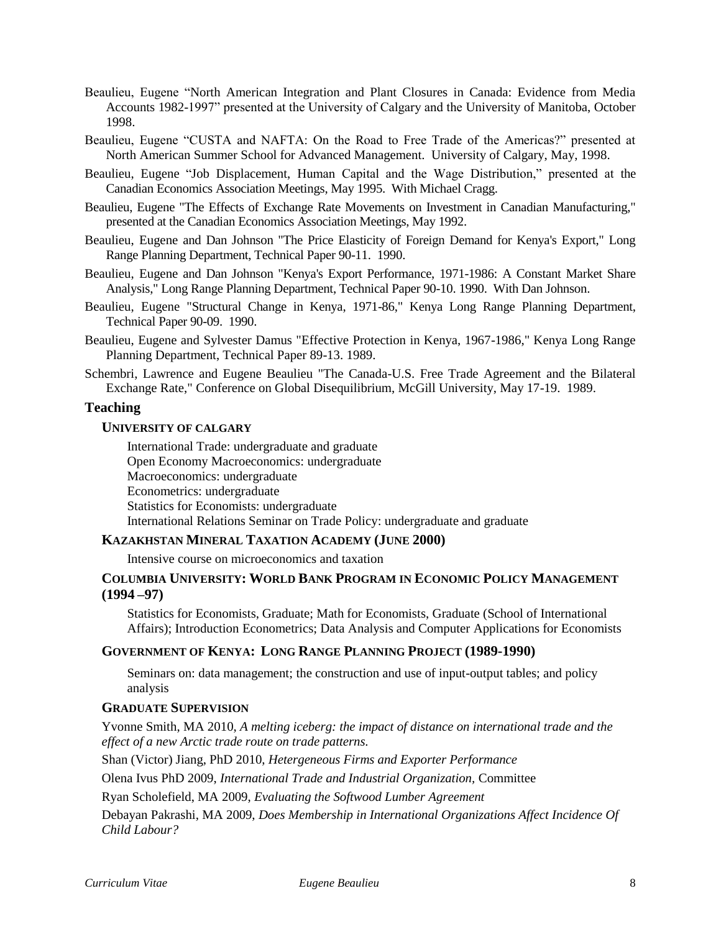- Beaulieu, Eugene "North American Integration and Plant Closures in Canada: Evidence from Media Accounts 1982-1997" presented at the University of Calgary and the University of Manitoba, October 1998.
- Beaulieu, Eugene "CUSTA and NAFTA: On the Road to Free Trade of the Americas?" presented at North American Summer School for Advanced Management. University of Calgary, May, 1998.
- Beaulieu, Eugene "Job Displacement, Human Capital and the Wage Distribution," presented at the Canadian Economics Association Meetings, May 1995. With Michael Cragg.
- Beaulieu, Eugene "The Effects of Exchange Rate Movements on Investment in Canadian Manufacturing," presented at the Canadian Economics Association Meetings, May 1992.
- Beaulieu, Eugene and Dan Johnson "The Price Elasticity of Foreign Demand for Kenya's Export," Long Range Planning Department, Technical Paper 90-11. 1990.
- Beaulieu, Eugene and Dan Johnson "Kenya's Export Performance, 1971-1986: A Constant Market Share Analysis," Long Range Planning Department, Technical Paper 90-10. 1990. With Dan Johnson.
- Beaulieu, Eugene "Structural Change in Kenya, 1971-86," Kenya Long Range Planning Department, Technical Paper 90-09. 1990.
- Beaulieu, Eugene and Sylvester Damus "Effective Protection in Kenya, 1967-1986," Kenya Long Range Planning Department, Technical Paper 89-13. 1989.
- Schembri, Lawrence and Eugene Beaulieu "The Canada-U.S. Free Trade Agreement and the Bilateral Exchange Rate," Conference on Global Disequilibrium, McGill University, May 17-19. 1989.

## **Teaching**

#### **UNIVERSITY OF CALGARY**

International Trade: undergraduate and graduate Open Economy Macroeconomics: undergraduate Macroeconomics: undergraduate Econometrics: undergraduate Statistics for Economists: undergraduate International Relations Seminar on Trade Policy: undergraduate and graduate

#### **KAZAKHSTAN MINERAL TAXATION ACADEMY (JUNE 2000)**

Intensive course on microeconomics and taxation

## **COLUMBIA UNIVERSITY: WORLD BANK PROGRAM IN ECONOMIC POLICY MANAGEMENT (1994 –97)**

Statistics for Economists, Graduate; Math for Economists, Graduate (School of International Affairs); Introduction Econometrics; Data Analysis and Computer Applications for Economists

#### **GOVERNMENT OF KENYA: LONG RANGE PLANNING PROJECT (1989-1990)**

Seminars on: data management; the construction and use of input-output tables; and policy analysis

## **GRADUATE SUPERVISION**

Yvonne Smith, MA 2010, *A melting iceberg: the impact of distance on international trade and the effect of a new Arctic trade route on trade patterns.*

Shan (Victor) Jiang, PhD 2010, *Hetergeneous Firms and Exporter Performance*

Olena Ivus PhD 2009, *International Trade and Industrial Organization,* Committee

Ryan Scholefield, MA 2009, *Evaluating the Softwood Lumber Agreement*

Debayan Pakrashi, MA 2009, *Does Membership in International Organizations Affect Incidence Of Child Labour?*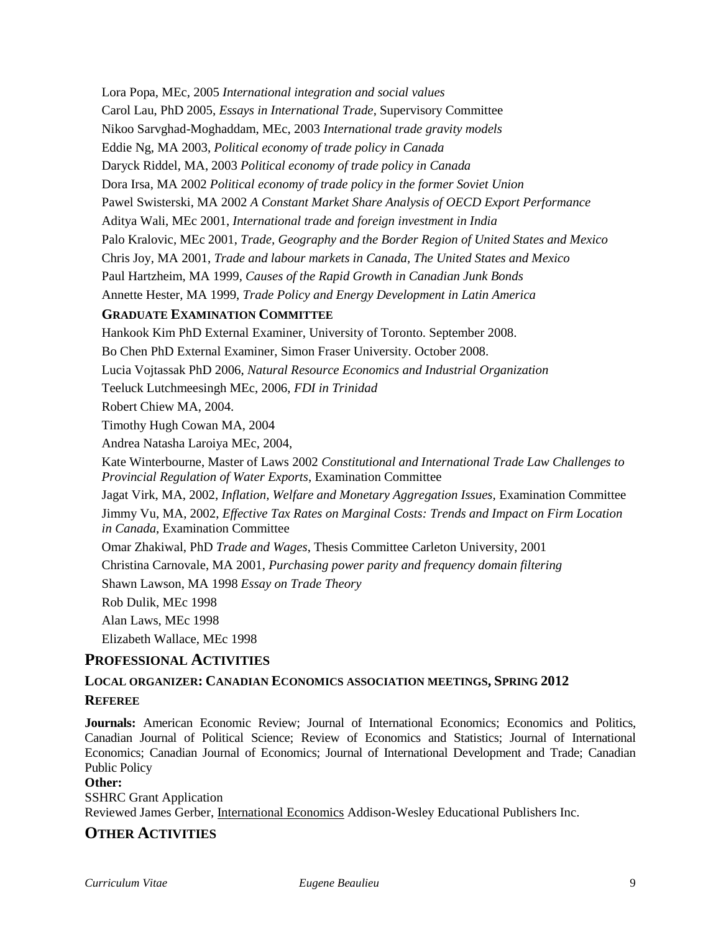Lora Popa, MEc, 2005 *International integration and social values* Carol Lau, PhD 2005, *Essays in International Trade*, Supervisory Committee Nikoo Sarvghad-Moghaddam, MEc, 2003 *International trade gravity models* Eddie Ng, MA 2003, *Political economy of trade policy in Canada* Daryck Riddel, MA, 2003 *Political economy of trade policy in Canada* Dora Irsa, MA 2002 *Political economy of trade policy in the former Soviet Union* Pawel Swisterski, MA 2002 *A Constant Market Share Analysis of OECD Export Performance* Aditya Wali, MEc 2001, *International trade and foreign investment in India* Palo Kralovic, MEc 2001, *Trade, Geography and the Border Region of United States and Mexico* Chris Joy, MA 2001, *Trade and labour markets in Canada, The United States and Mexico* Paul Hartzheim, MA 1999, *Causes of the Rapid Growth in Canadian Junk Bonds* Annette Hester, MA 1999, *Trade Policy and Energy Development in Latin America* **GRADUATE EXAMINATION COMMITTEE** Hankook Kim PhD External Examiner, University of Toronto. September 2008. Bo Chen PhD External Examiner, Simon Fraser University. October 2008. Lucia Vojtassak PhD 2006, *Natural Resource Economics and Industrial Organization* Teeluck Lutchmeesingh MEc, 2006, *FDI in Trinidad* Robert Chiew MA, 2004. Timothy Hugh Cowan MA, 2004 Andrea Natasha Laroiya MEc, 2004, Kate Winterbourne, Master of Laws 2002 *Constitutional and International Trade Law Challenges to Provincial Regulation of Water Exports*, Examination Committee Jagat Virk, MA, 2002, *Inflation, Welfare and Monetary Aggregation Issues,* Examination Committee Jimmy Vu, MA, 2002, *Effective Tax Rates on Marginal Costs: Trends and Impact on Firm Location in Canada*, Examination Committee Omar Zhakiwal, PhD *Trade and Wages*, Thesis Committee Carleton University, 2001 Christina Carnovale, MA 2001, *Purchasing power parity and frequency domain filtering* Shawn Lawson, MA 1998 *Essay on Trade Theory*

Rob Dulik, MEc 1998

Alan Laws, MEc 1998

Elizabeth Wallace, MEc 1998

# **PROFESSIONAL ACTIVITIES**

# **LOCAL ORGANIZER: CANADIAN ECONOMICS ASSOCIATION MEETINGS, SPRING 2012 REFEREE**

**Journals:** American Economic Review; Journal of International Economics; Economics and Politics, Canadian Journal of Political Science; Review of Economics and Statistics; Journal of International Economics; Canadian Journal of Economics; Journal of International Development and Trade; Canadian Public Policy

#### **Other:**

SSHRC Grant Application Reviewed James Gerber, International Economics Addison-Wesley Educational Publishers Inc.

# **OTHER ACTIVITIES**